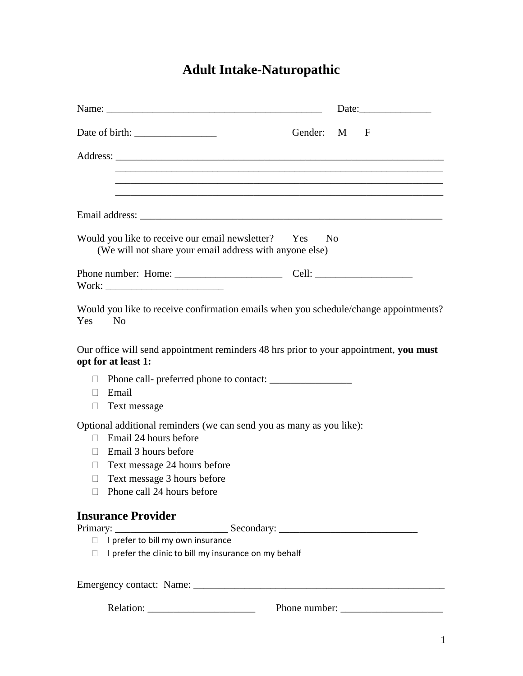# **Adult Intake-Naturopathic**

|                                                                                        |                                                                                                                                                                   |             | Date:                                                                                |
|----------------------------------------------------------------------------------------|-------------------------------------------------------------------------------------------------------------------------------------------------------------------|-------------|--------------------------------------------------------------------------------------|
|                                                                                        |                                                                                                                                                                   | Gender: M F |                                                                                      |
|                                                                                        |                                                                                                                                                                   |             |                                                                                      |
|                                                                                        |                                                                                                                                                                   |             |                                                                                      |
|                                                                                        |                                                                                                                                                                   |             |                                                                                      |
|                                                                                        | Would you like to receive our email newsletter? Yes No<br>(We will not share your email address with anyone else)                                                 |             |                                                                                      |
|                                                                                        |                                                                                                                                                                   |             |                                                                                      |
| Yes<br>$\overline{N}$                                                                  |                                                                                                                                                                   |             | Would you like to receive confirmation emails when you schedule/change appointments? |
| opt for at least 1:                                                                    | Our office will send appointment reminders 48 hrs prior to your appointment, you must                                                                             |             |                                                                                      |
| $\Box$<br>Email<br>$\Box$<br>Text message<br>□                                         |                                                                                                                                                                   |             |                                                                                      |
| Email 24 hours before<br>$\Box$<br>Email 3 hours before<br>П.<br>$\Box$<br>$\Box$<br>П | Optional additional reminders (we can send you as many as you like):<br>Text message 24 hours before<br>Text message 3 hours before<br>Phone call 24 hours before |             |                                                                                      |
| <b>Insurance Provider</b>                                                              |                                                                                                                                                                   |             |                                                                                      |
| <b>The State</b>                                                                       | I prefer to bill my own insurance                                                                                                                                 |             |                                                                                      |
| П.                                                                                     | I prefer the clinic to bill my insurance on my behalf                                                                                                             |             |                                                                                      |
|                                                                                        |                                                                                                                                                                   |             |                                                                                      |
|                                                                                        |                                                                                                                                                                   |             |                                                                                      |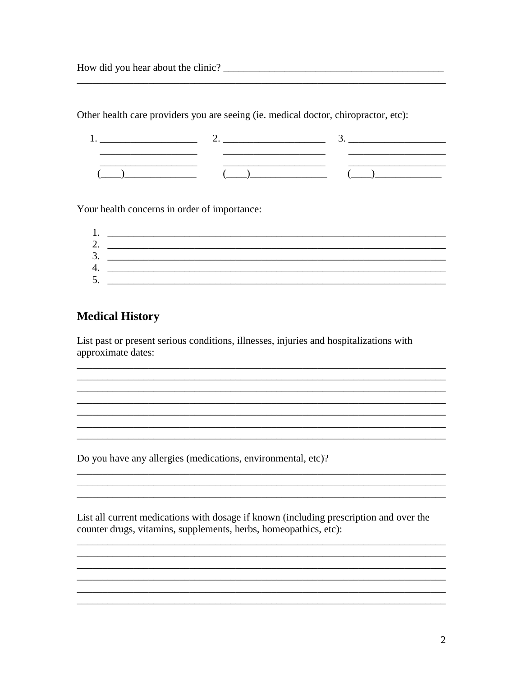Other health care providers you are seeing (ie. medical doctor, chiropractor, etc):

Your health concerns in order of importance:

| . .          |  |
|--------------|--|
|              |  |
| ⌒<br>≺<br>J. |  |
| 4.           |  |
| 5<br>ັ.      |  |

<u> 1989 - Johann Stoff, deutscher Stoff, der Stoff, der Stoff, der Stoff, der Stoff, der Stoff, der Stoff, der S</u>

<u> 1989 - Jan James James, martin amerikan basar dan berasal dalam berasal dalam berasal dalam berasal dalam be</u>

<u> 1989 - Johann Stoff, amerikansk politiker (d. 1989)</u>

#### **Medical History**

List past or present serious conditions, illnesses, injuries and hospitalizations with approximate dates:

Do you have any allergies (medications, environmental, etc)?

List all current medications with dosage if known (including prescription and over the counter drugs, vitamins, supplements, herbs, homeopathics, etc):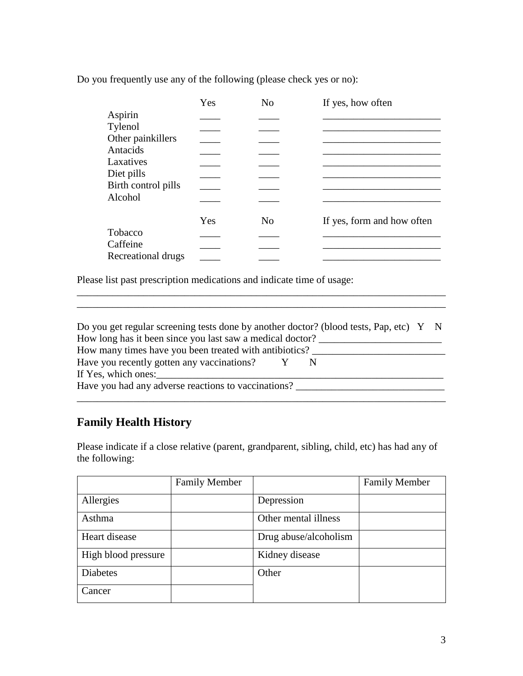Do you frequently use any of the following (please check yes or no):

|                     | Yes | N <sub>0</sub> | If yes, how often          |
|---------------------|-----|----------------|----------------------------|
| Aspirin             |     |                |                            |
| Tylenol             |     |                |                            |
| Other painkillers   |     |                |                            |
| Antacids            |     |                |                            |
| Laxatives           |     |                |                            |
| Diet pills          |     |                |                            |
| Birth control pills |     |                |                            |
| Alcohol             |     |                |                            |
|                     |     |                |                            |
|                     | Yes | N <sub>0</sub> | If yes, form and how often |
| Tobacco             |     |                |                            |
| Caffeine            |     |                |                            |
| Recreational drugs  |     |                |                            |

Please list past prescription medications and indicate time of usage:

| Do you get regular screening tests done by another doctor? (blood tests, Pap, etc) Y N |  |  |  |  |  |
|----------------------------------------------------------------------------------------|--|--|--|--|--|
| How long has it been since you last saw a medical doctor?                              |  |  |  |  |  |
| How many times have you been treated with antibiotics?                                 |  |  |  |  |  |
| Have you recently gotten any vaccinations?                                             |  |  |  |  |  |
| If Yes, which ones:                                                                    |  |  |  |  |  |
| Have you had any adverse reactions to vaccinations?                                    |  |  |  |  |  |
|                                                                                        |  |  |  |  |  |

\_\_\_\_\_\_\_\_\_\_\_\_\_\_\_\_\_\_\_\_\_\_\_\_\_\_\_\_\_\_\_\_\_\_\_\_\_\_\_\_\_\_\_\_\_\_\_\_\_\_\_\_\_\_\_\_\_\_\_\_\_\_\_\_\_\_\_\_\_\_\_\_

### **Family Health History**

Please indicate if a close relative (parent, grandparent, sibling, child, etc) has had any of the following:

|                     | <b>Family Member</b> |                       | <b>Family Member</b> |
|---------------------|----------------------|-----------------------|----------------------|
| Allergies           |                      | Depression            |                      |
| Asthma              |                      | Other mental illness  |                      |
| Heart disease       |                      | Drug abuse/alcoholism |                      |
| High blood pressure |                      | Kidney disease        |                      |
| <b>Diabetes</b>     |                      | Other                 |                      |
| Cancer              |                      |                       |                      |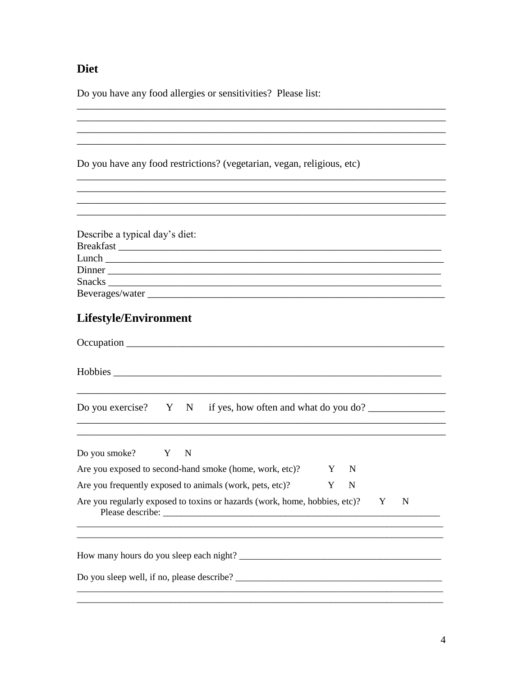### **Diet**

Do you have any food allergies or sensitivities? Please list:

Do you have any food restrictions? (vegetarian, vegan, religious, etc)

| Describe a typical day's diet: |
|--------------------------------|
| Breakfast                      |
|                                |
| Dinner                         |
|                                |
| Beverages/water                |

<u> 1989 - Johann Stoff, amerikansk politiker (d. 1989)</u> and the control of the control of the control of the control of the control of the control of the control of the

## Lifestyle/Environment

| Do you exercise? $Y \times N$ if yes, how often and what do you do?               |
|-----------------------------------------------------------------------------------|
| Do you smoke? Y N                                                                 |
| Are you exposed to second-hand smoke (home, work, etc)?<br>Y N                    |
| Y N<br>Are you frequently exposed to animals (work, pets, etc)?                   |
| Are you regularly exposed to toxins or hazards (work, home, hobbies, etc)? Y<br>N |
|                                                                                   |
| Do you sleep well, if no, please describe?                                        |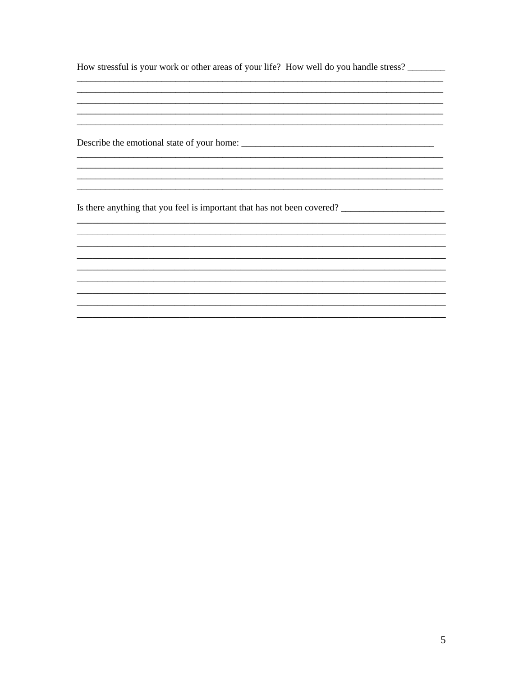How stressful is your work or other areas of your life? How well do you handle stress?

<u> 1989 - Johann Harry Harry Harry Harry Harry Harry Harry Harry Harry Harry Harry Harry Harry Harry Harry Harry</u> 

<u> 1989 - Johann John Stone, mars eta biztanleria (h. 1989).</u>

Is there anything that you feel is important that has not been covered?